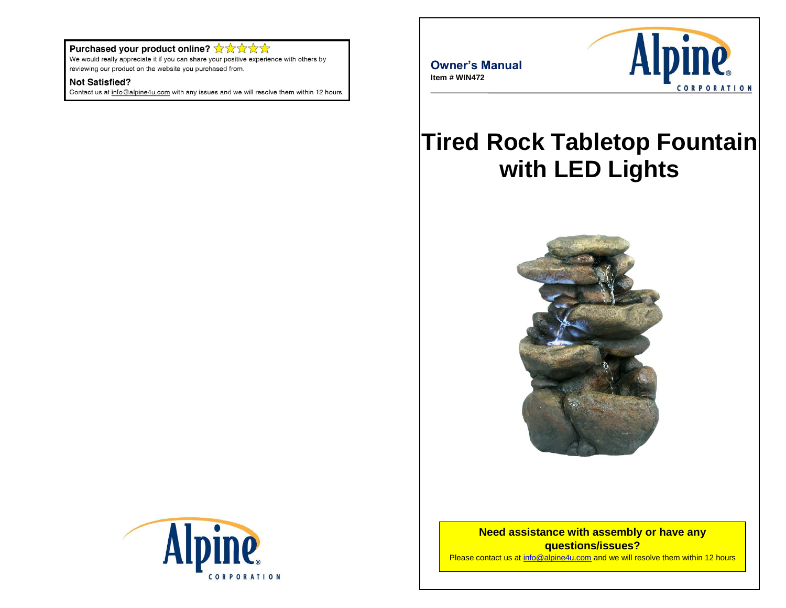#### Purchased your product online? ☆☆☆☆☆

We would really appreciate it if you can share your positive experience with others by reviewing our product on the website you purchased from.

#### **Not Satisfied?**

Contact us at info@alpine4u.com with any issues and we will resolve them within 12 hours.

**Owner's Manual Item # WIN472**



# **Tired Rock Tabletop Fountain with LED Lights**



**Need assistance with assembly or have any questions/issues?** Please contact us at [info@alpine4u.com](mailto:info@alpine4u.com) and we will resolve them within 12 hours

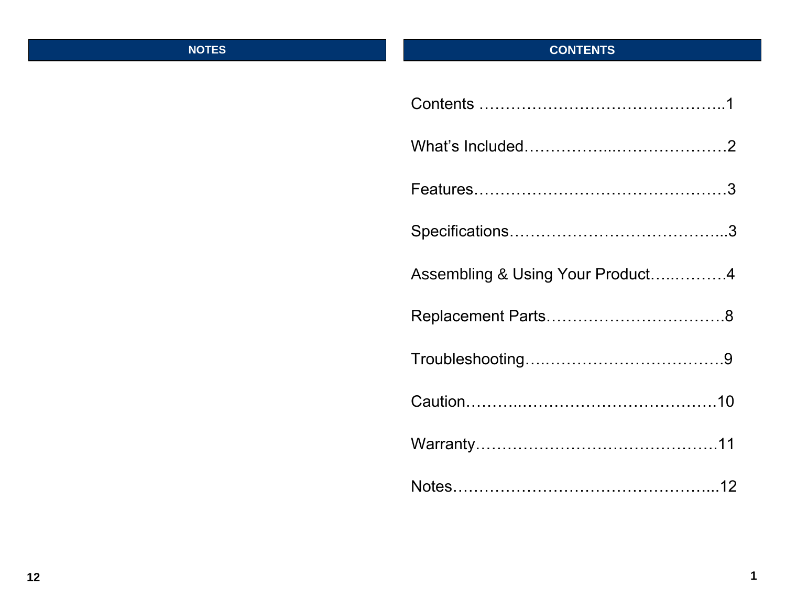# **NOTES**

# **CONTENTS**

| Assembling & Using Your Product4 |
|----------------------------------|
|                                  |
|                                  |
|                                  |
|                                  |
|                                  |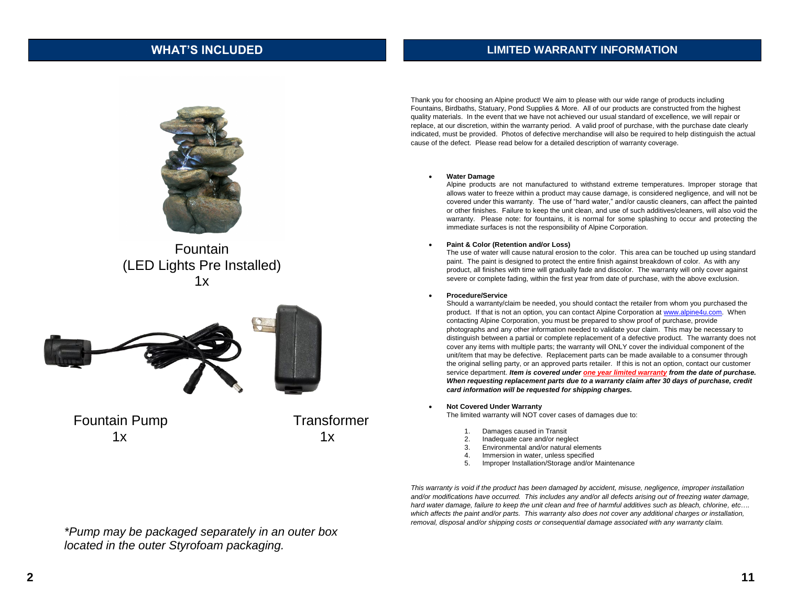#### **WHAT'S INCLUDED**

#### **LIMITED WARRANTY INFORMATION**



Fountain (LED Lights Pre Installed)  $1x$ 



Thank you for choosing an Alpine product! We aim to please with our wide range of products including Fountains, Birdbaths, Statuary, Pond Supplies & More. All of our products are constructed from the highest quality materials. In the event that we have not achieved our usual standard of excellence, we will repair or replace, at our discretion, within the warranty period. A valid proof of purchase, with the purchase date clearly indicated, must be provided. Photos of defective merchandise will also be required to help distinguish the actual cause of the defect. Please read below for a detailed description of warranty coverage.

#### • **Water Damage**

Alpine products are not manufactured to withstand extreme temperatures. Improper storage that allows water to freeze within a product may cause damage, is considered negligence, and will not be covered under this warranty. The use of "hard water," and/or caustic cleaners, can affect the painted or other finishes. Failure to keep the unit clean, and use of such additives/cleaners, will also void the warranty. Please note: for fountains, it is normal for some splashing to occur and protecting the immediate surfaces is not the responsibility of Alpine Corporation.

#### • **Paint & Color (Retention and/or Loss)**

The use of water will cause natural erosion to the color. This area can be touched up using standard paint. The paint is designed to protect the entire finish against breakdown of color. As with any product, all finishes with time will gradually fade and discolor. The warranty will only cover against severe or complete fading, within the first year from date of purchase, with the above exclusion.

#### • **Procedure/Service**

Should a warranty/claim be needed, you should contact the retailer from whom you purchased the product. If that is not an option, you can contact Alpine Corporation a[t www.alpine4u.com.](http://www.alpine4u.com/) When contacting Alpine Corporation, you must be prepared to show proof of purchase, provide photographs and any other information needed to validate your claim. This may be necessary to distinguish between a partial or complete replacement of a defective product. The warranty does not cover any items with multiple parts; the warranty will ONLY cover the individual component of the unit/item that may be defective. Replacement parts can be made available to a consumer through the original selling party, or an approved parts retailer. If this is not an option, contact our customer service department. *Item is covered under one year limited warranty from the date of purchase. When requesting replacement parts due to a warranty claim after 30 days of purchase, credit card information will be requested for shipping charges.*

• **Not Covered Under Warranty** 

The limited warranty will NOT cover cases of damages due to:

- 1. Damages caused in Transit
- 2. Inadequate care and/or neglect
- 3. Environmental and/or natural elements
- 4. Immersion in water, unless specified
- 5. Improper Installation/Storage and/or Maintenance

*This warranty is void if the product has been damaged by accident, misuse, negligence, improper installation and/or modifications have occurred. This includes any and/or all defects arising out of freezing water damage, hard water damage, failure to keep the unit clean and free of harmful additives such as bleach, chlorine, etc….*  which affects the paint and/or parts. This warranty also does not cover any additional charges or installation, *removal, disposal and/or shipping costs or consequential damage associated with any warranty claim.*

*\*Pump may be packaged separately in an outer box located in the outer Styrofoam packaging.*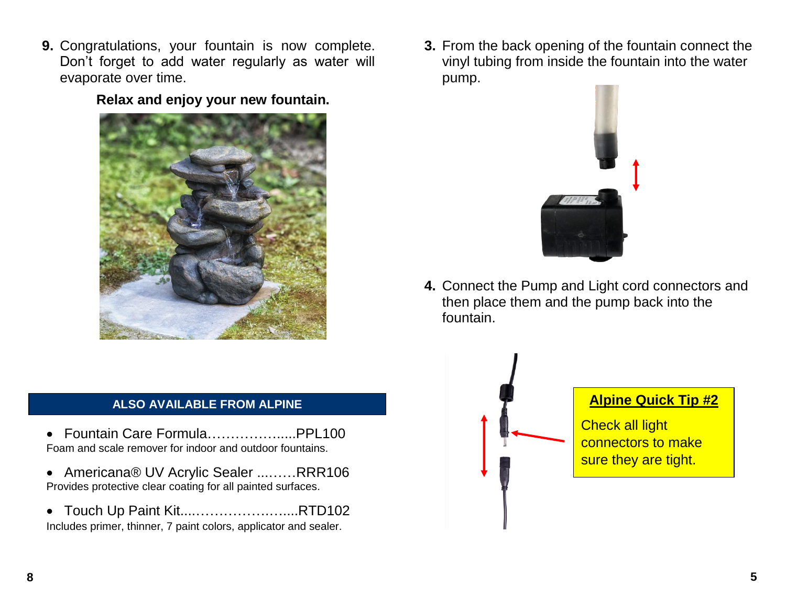**9.** Congratulations, your fountain is now complete. Don't forget to add water regularly as water will evaporate over time.

## **Relax and enjoy your new fountain.**



#### **ALSO AVAILABLE FROM ALPINE**

- Fountain Care Formula…………….....PPL100 Foam and scale remover for indoor and outdoor fountains.
- Americana® UV Acrylic Sealer ...……RRR106 Provides protective clear coating for all painted surfaces.
- Touch Up Paint Kit....…………….…....RTD102 Includes primer, thinner, 7 paint colors, applicator and sealer.

**3.** From the back opening of the fountain connect the vinyl tubing from inside the fountain into the water pump.



**4.** Connect the Pump and Light cord connectors and then place them and the pump back into the fountain.



## **Alpine Quick Tip #2**

**Check all light** connectors to make sure they are tight.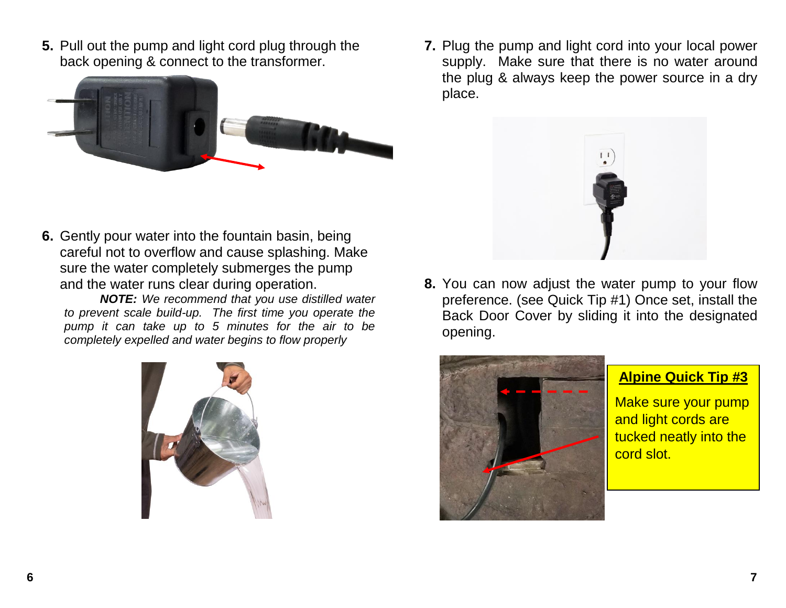**5.** Pull out the pump and light cord plug through the back opening & connect to the transformer.



**7.** Plug the pump and light cord into your local power supply. Make sure that there is no water around the plug & always keep the power source in a dry place.



**6.** Gently pour water into the fountain basin, being careful not to overflow and cause splashing. Make sure the water completely submerges the pump and the water runs clear during operation.

*NOTE: We recommend that you use distilled water to prevent scale build-up. The first time you operate the pump it can take up to 5 minutes for the air to be completely expelled and water begins to flow properly*



**8.** You can now adjust the water pump to your flow preference. (see Quick Tip #1) Once set, install the Back Door Cover by sliding it into the designated opening.





Make sure your pump and light cords are tucked neatly into the cord slot.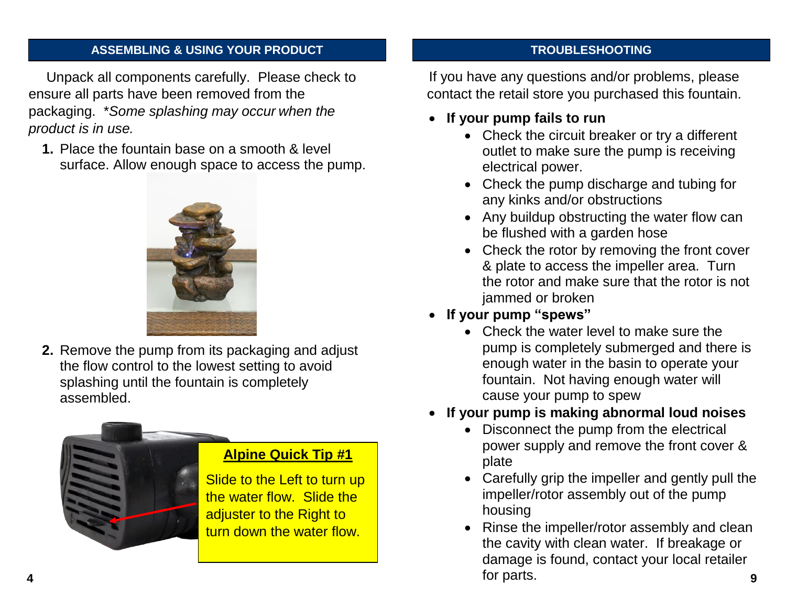#### **ASSEMBLING & USING YOUR PRODUCT**

Unpack all components carefully. Please check to ensure all parts have been removed from the packaging. \**Some splashing may occur when the product is in use.* 

**1.** Place the fountain base on a smooth & level surface. Allow enough space to access the pump.



**2.** Remove the pump from its packaging and adjust the flow control to the lowest setting to avoid splashing until the fountain is completely assembled.



## **Alpine Quick Tip #1**

Slide to the Left to turn up the water flow. Slide the adjuster to the Right to turn down the water flow.

#### **TROUBLESHOOTING**

If you have any questions and/or problems, please contact the retail store you purchased this fountain.

- **If your pump fails to run**
	- Check the circuit breaker or try a different outlet to make sure the pump is receiving electrical power.
	- Check the pump discharge and tubing for any kinks and/or obstructions
	- Any buildup obstructing the water flow can be flushed with a garden hose
	- Check the rotor by removing the front cover & plate to access the impeller area. Turn the rotor and make sure that the rotor is not jammed or broken
- **If your pump "spews"** 
	- Check the water level to make sure the pump is completely submerged and there is enough water in the basin to operate your fountain. Not having enough water will cause your pump to spew
- **If your pump is making abnormal loud noises**
	- Disconnect the pump from the electrical power supply and remove the front cover & plate
	- Carefully grip the impeller and gently pull the impeller/rotor assembly out of the pump housing
	- Rinse the impeller/rotor assembly and clean the cavity with clean water. If breakage or damage is found, contact your local retailer for parts. **9**